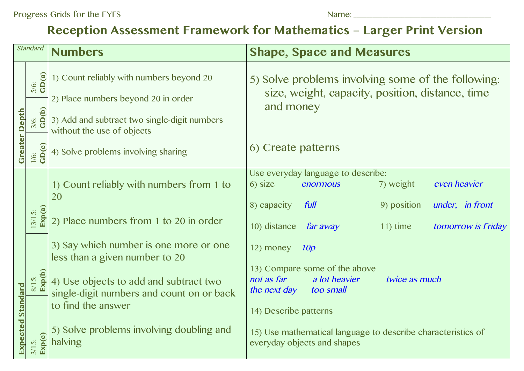## **Reception Assessment Framework for Mathematics – Larger Print Version**

| <b>Standard</b>             |                                         | <b>Numbers</b>                                                                                                                  | <b>Shape, Space and Measures</b>                                                                                                                |
|-----------------------------|-----------------------------------------|---------------------------------------------------------------------------------------------------------------------------------|-------------------------------------------------------------------------------------------------------------------------------------------------|
| <b>Depth</b><br>Greater     | 5/6:<br>GD(a)<br>$\frac{3}{6}$<br>GD(b) | 1) Count reliably with numbers beyond 20<br>2) Place numbers beyond 20 in order<br>3) Add and subtract two single-digit numbers | 5) Solve problems involving some of the following:<br>size, weight, capacity, position, distance, time<br>and money                             |
|                             | 1/6:<br>GD(c)                           | without the use of objects<br>4) Solve problems involving sharing                                                               | 6) Create patterns                                                                                                                              |
| <b>Standard</b><br>Expected |                                         | 1) Count reliably with numbers from 1 to<br>20                                                                                  | Use everyday language to describe:<br>7) weight<br>even heavier<br>6) size<br>enormous<br>9) position<br>under, in front<br>8) capacity<br>full |
|                             | Exp(a)<br>$3/15$ :                      | 2) Place numbers from 1 to 20 in order                                                                                          | 10) distance<br>far away<br>tomorrow is Friday<br>$11$ ) time                                                                                   |
|                             |                                         | 3) Say which number is one more or one<br>less than a given number to 20                                                        | 12) money<br>10p<br>13) Compare some of the above                                                                                               |
|                             | 8/15:<br>Exp(b)                         | 4) Use objects to add and subtract two<br>single-digit numbers and count on or back<br>to find the answer                       | not as far<br>a lot heavier<br>twice as much<br>the next day<br>too small                                                                       |
|                             | Exp(c)<br>$3/15$ :                      | 5) Solve problems involving doubling and<br>halving                                                                             | 14) Describe patterns<br>15) Use mathematical language to describe characteristics of<br>everyday objects and shapes                            |